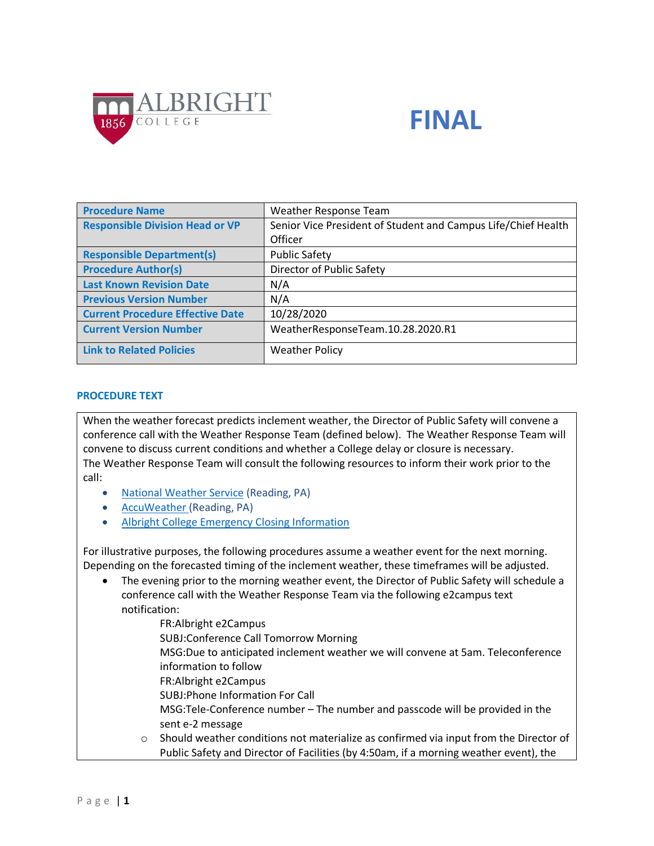



| <b>Procedure Name</b>                   | Weather Response Team                                         |
|-----------------------------------------|---------------------------------------------------------------|
| <b>Responsible Division Head or VP</b>  | Senior Vice President of Student and Campus Life/Chief Health |
|                                         | Officer                                                       |
| <b>Responsible Department(s)</b>        | <b>Public Safety</b>                                          |
| <b>Procedure Author(s)</b>              | Director of Public Safety                                     |
| <b>Last Known Revision Date</b>         | N/A                                                           |
| <b>Previous Version Number</b>          | N/A                                                           |
| <b>Current Procedure Effective Date</b> | 10/28/2020                                                    |
| <b>Current Version Number</b>           | WeatherResponseTeam.10.28.2020.R1                             |
| <b>Link to Related Policies</b>         | <b>Weather Policy</b>                                         |

#### **PROCEDURE TEXT**

When the weather forecast predicts inclement weather, the Director of Public Safety will convene a conference call with the Weather Response Team (defined below). The Weather Response Team will convene to discuss current conditions and whether a College delay or closure is necessary. The Weather Response Team will consult the following resources to inform their work prior to the call:

- [National Weather Service](http://forecast.weather.gov/MapClick.php?lat=40.3467&lon=-75.9159&unit=0&lg=english&FcstType=graphical) (Reading, PA)
- [AccuWeather](https://www.accuweather.com/en/us/reading-pa/19601/weather-forecast/330291) (Reading, PA)
- [Albright College Emergency Closing Information](https://www.albright.edu/emergency-closing-information/)

For illustrative purposes, the following procedures assume a weather event for the next morning. Depending on the forecasted timing of the inclement weather, these timeframes will be adjusted.

 The evening prior to the morning weather event, the Director of Public Safety will schedule a conference call with the Weather Response Team via the following e2campus text notification:

FR:Albright e2Campus SUBJ:Conference Call Tomorrow Morning MSG:Due to anticipated inclement weather we will convene at 5am. Teleconference information to follow FR:Albright e2Campus SUBJ:Phone Information For Call MSG:Tele-Conference number – The number and passcode will be provided in the sent e-2 message

 $\circ$  Should weather conditions not materialize as confirmed via input from the Director of Public Safety and Director of Facilities (by 4:50am, if a morning weather event), the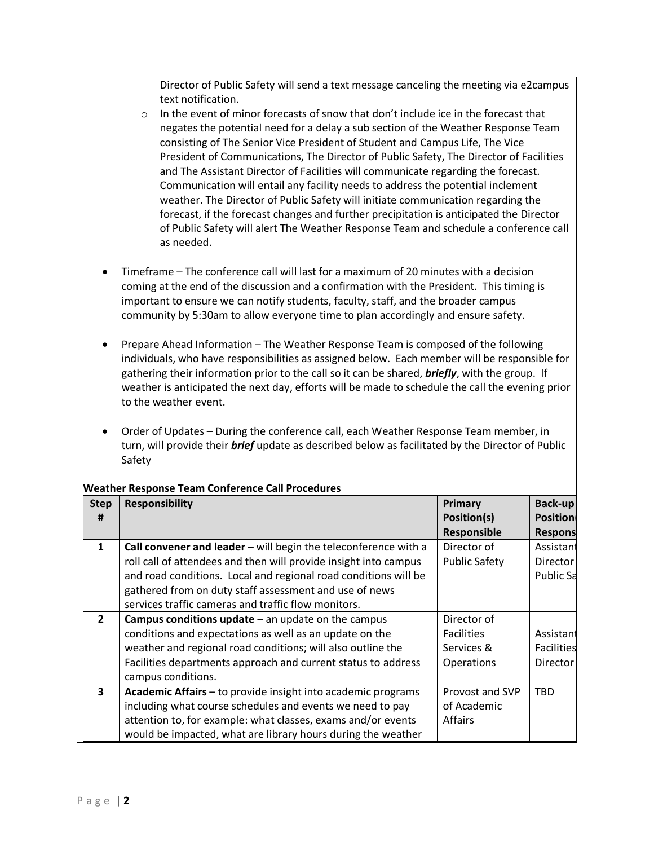Director of Public Safety will send a text message canceling the meeting via e2campus text notification.

- $\circ$  In the event of minor forecasts of snow that don't include ice in the forecast that negates the potential need for a delay a sub section of the Weather Response Team consisting of The Senior Vice President of Student and Campus Life, The Vice President of Communications, The Director of Public Safety, The Director of Facilities and The Assistant Director of Facilities will communicate regarding the forecast. Communication will entail any facility needs to address the potential inclement weather. The Director of Public Safety will initiate communication regarding the forecast, if the forecast changes and further precipitation is anticipated the Director of Public Safety will alert The Weather Response Team and schedule a conference call as needed.
- Timeframe The conference call will last for a maximum of 20 minutes with a decision coming at the end of the discussion and a confirmation with the President. This timing is important to ensure we can notify students, faculty, staff, and the broader campus community by 5:30am to allow everyone time to plan accordingly and ensure safety.
- Prepare Ahead Information The Weather Response Team is composed of the following individuals, who have responsibilities as assigned below. Each member will be responsible for gathering their information prior to the call so it can be shared, *briefly*, with the group. If weather is anticipated the next day, efforts will be made to schedule the call the evening prior to the weather event.
- Order of Updates During the conference call, each Weather Response Team member, in turn, will provide their *brief* update as described below as facilitated by the Director of Public Safety

| <b>Step</b>             | <b>Responsibility</b>                                            | Primary              | Back-up           |
|-------------------------|------------------------------------------------------------------|----------------------|-------------------|
| #                       |                                                                  | Position(s)          | <b>Position</b>   |
|                         |                                                                  | Responsible          | <b>Respons</b>    |
| $\mathbf{1}$            | Call convener and leader - will begin the teleconference with a  | Director of          | Assistant         |
|                         | roll call of attendees and then will provide insight into campus | <b>Public Safety</b> | <b>Director</b>   |
|                         | and road conditions. Local and regional road conditions will be  |                      | Public Sa         |
|                         | gathered from on duty staff assessment and use of news           |                      |                   |
|                         | services traffic cameras and traffic flow monitors.              |                      |                   |
| $\mathbf{2}$            | Campus conditions update $-$ an update on the campus             | Director of          |                   |
|                         | conditions and expectations as well as an update on the          | <b>Facilities</b>    | Assistant         |
|                         | weather and regional road conditions; will also outline the      | Services &           | <b>Facilities</b> |
|                         | Facilities departments approach and current status to address    | Operations           | <b>Director</b>   |
|                         | campus conditions.                                               |                      |                   |
| $\overline{\mathbf{3}}$ | Academic Affairs - to provide insight into academic programs     | Provost and SVP      | <b>TBD</b>        |
|                         | including what course schedules and events we need to pay        | of Academic          |                   |
|                         | attention to, for example: what classes, exams and/or events     | Affairs              |                   |
|                         | would be impacted, what are library hours during the weather     |                      |                   |

## **Weather Response Team Conference Call Procedures**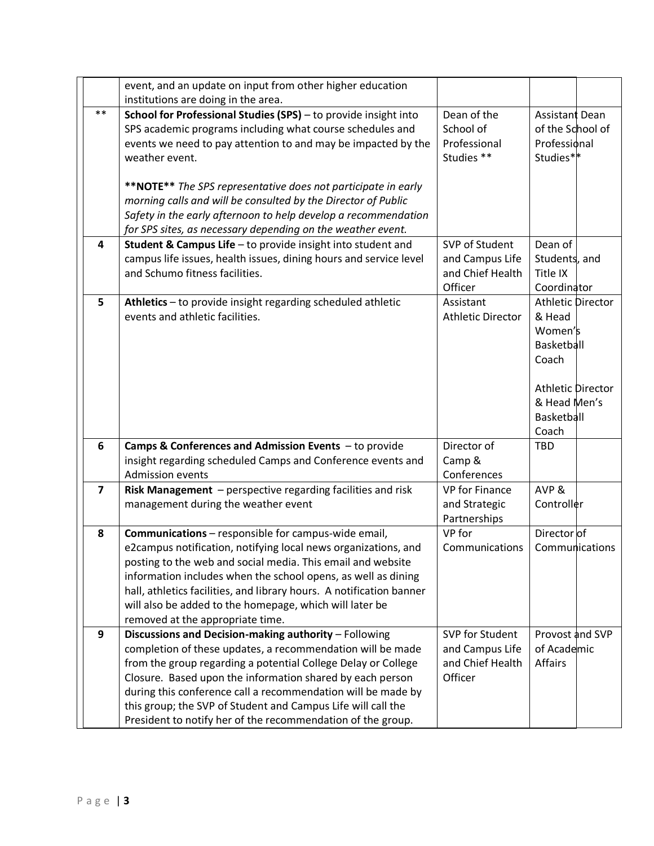|                | event, and an update on input from other higher education                                      |                          |                          |
|----------------|------------------------------------------------------------------------------------------------|--------------------------|--------------------------|
|                | institutions are doing in the area.                                                            |                          |                          |
| $***$          | School for Professional Studies (SPS) - to provide insight into                                | Dean of the              | Assistant Dean           |
|                | SPS academic programs including what course schedules and                                      | School of                | of the School of         |
|                | events we need to pay attention to and may be impacted by the                                  | Professional             | Professional             |
|                | weather event.                                                                                 | Studies **               | Studies**                |
|                |                                                                                                |                          |                          |
|                | **NOTE** The SPS representative does not participate in early                                  |                          |                          |
|                | morning calls and will be consulted by the Director of Public                                  |                          |                          |
|                | Safety in the early afternoon to help develop a recommendation                                 |                          |                          |
|                | for SPS sites, as necessary depending on the weather event.                                    |                          |                          |
| 4              | Student & Campus Life - to provide insight into student and                                    | SVP of Student           | Dean of                  |
|                | campus life issues, health issues, dining hours and service level                              | and Campus Life          | Students, and            |
|                | and Schumo fitness facilities.                                                                 | and Chief Health         | Title IX                 |
|                |                                                                                                | Officer                  | Coordinator              |
| 5              | Athletics - to provide insight regarding scheduled athletic<br>events and athletic facilities. | Assistant                | <b>Athletic Director</b> |
|                |                                                                                                | <b>Athletic Director</b> | & Head<br>Women's        |
|                |                                                                                                |                          | Basketball               |
|                |                                                                                                |                          | Coach                    |
|                |                                                                                                |                          |                          |
|                |                                                                                                |                          | <b>Athletic Director</b> |
|                |                                                                                                |                          | & Head Men's             |
|                |                                                                                                |                          | Basketball               |
|                |                                                                                                |                          | Coach                    |
| 6              | Camps & Conferences and Admission Events - to provide                                          | Director of              | <b>TBD</b>               |
|                | insight regarding scheduled Camps and Conference events and                                    | Camp &                   |                          |
|                | <b>Admission events</b>                                                                        | Conferences              |                          |
| $\overline{7}$ | Risk Management - perspective regarding facilities and risk                                    | VP for Finance           | AVP&                     |
|                | management during the weather event                                                            | and Strategic            | Controller               |
|                |                                                                                                | Partnerships             |                          |
| 8              | <b>Communications</b> - responsible for campus-wide email,                                     | VP for                   | Director of              |
|                | e2campus notification, notifying local news organizations, and                                 | Communications           | Communications           |
|                | posting to the web and social media. This email and website                                    |                          |                          |
|                | information includes when the school opens, as well as dining                                  |                          |                          |
|                | hall, athletics facilities, and library hours. A notification banner                           |                          |                          |
|                | will also be added to the homepage, which will later be                                        |                          |                          |
|                | removed at the appropriate time.                                                               |                          |                          |
| 9              | Discussions and Decision-making authority - Following                                          | SVP for Student          | Provost and SVP          |
|                | completion of these updates, a recommendation will be made                                     | and Campus Life          | of Academic              |
|                | from the group regarding a potential College Delay or College                                  | and Chief Health         | Affairs                  |
|                | Closure. Based upon the information shared by each person                                      | Officer                  |                          |
|                | during this conference call a recommendation will be made by                                   |                          |                          |
|                | this group; the SVP of Student and Campus Life will call the                                   |                          |                          |
|                | President to notify her of the recommendation of the group.                                    |                          |                          |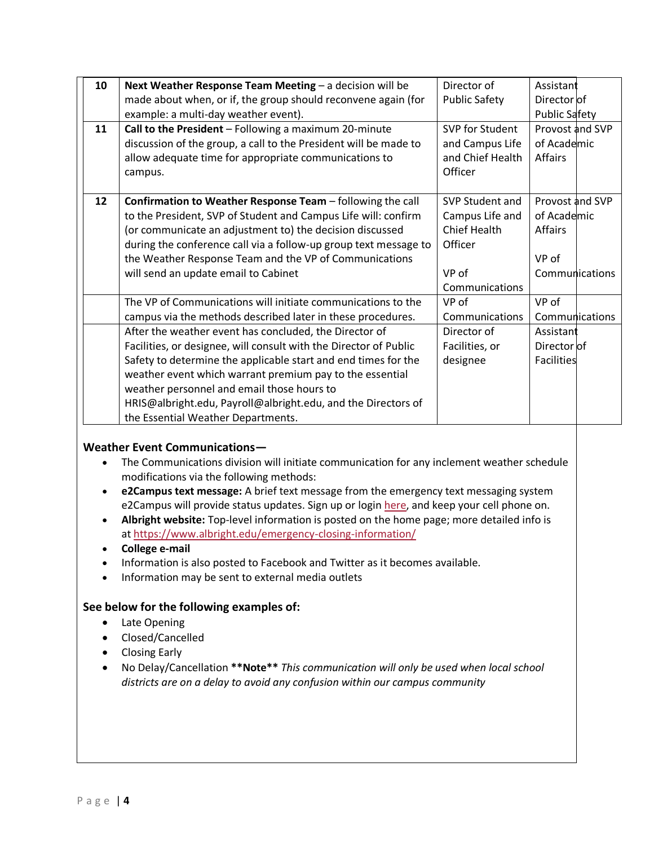| 10 | Next Weather Response Team Meeting - a decision will be                                              | Director of                 | Assistant            |
|----|------------------------------------------------------------------------------------------------------|-----------------------------|----------------------|
|    | made about when, or if, the group should reconvene again (for<br><b>Public Safety</b><br>Director of |                             |                      |
|    | example: a multi-day weather event).                                                                 |                             | <b>Public Safety</b> |
| 11 | Call to the President - Following a maximum 20-minute                                                | SVP for Student             | Provost and SVP      |
|    | discussion of the group, a call to the President will be made to                                     | and Campus Life             | of Academic          |
|    | allow adequate time for appropriate communications to                                                | and Chief Health<br>Affairs |                      |
|    | campus.                                                                                              | Officer                     |                      |
|    |                                                                                                      |                             |                      |
| 12 | Confirmation to Weather Response Team - following the call                                           | SVP Student and             | Provost and SVP      |
|    | to the President, SVP of Student and Campus Life will: confirm                                       | Campus Life and             | of Academic          |
|    | (or communicate an adjustment to) the decision discussed                                             | <b>Chief Health</b>         | Affairs              |
|    | during the conference call via a follow-up group text message to                                     | Officer                     |                      |
|    | the Weather Response Team and the VP of Communications                                               |                             | VP of                |
|    | will send an update email to Cabinet                                                                 | VP of                       | Communications       |
|    | Communications                                                                                       |                             |                      |
|    | The VP of Communications will initiate communications to the                                         | VP of                       | VP of                |
|    | campus via the methods described later in these procedures.                                          | Communications              | Communications       |
|    | After the weather event has concluded, the Director of                                               | Director of                 | Assistant            |
|    | Facilities, or designee, will consult with the Director of Public                                    | Facilities, or              | Director of          |
|    | Safety to determine the applicable start and end times for the                                       | designee                    | <b>Facilities</b>    |
|    | weather event which warrant premium pay to the essential                                             |                             |                      |
|    | weather personnel and email those hours to                                                           |                             |                      |
|    | HRIS@albright.edu, Payroll@albright.edu, and the Directors of                                        |                             |                      |
|    | the Essential Weather Departments.                                                                   |                             |                      |

## **Weather Event Communications—**

- The Communications division will initiate communication for any inclement weather schedule modifications via the following methods:
- **e2Campus text message:** A brief text message from the emergency text messaging system e2Campus will provide status updates. Sign up or login [here,](https://alb.omnilert.net/subscriber.php) and keep your cell phone on.
- **Albright website:** Top-level information is posted on the home page; more detailed info is at <https://www.albright.edu/emergency-closing-information/>
- **College e-mail**
- Information is also posted to Facebook and Twitter as it becomes available.
- Information may be sent to external media outlets

# **See below for the following examples of:**

- Late Opening
- Closed/Cancelled
- Closing Early
- No Delay/Cancellation **\*\*Note\*\*** *This communication will only be used when local school districts are on a delay to avoid any confusion within our campus community*